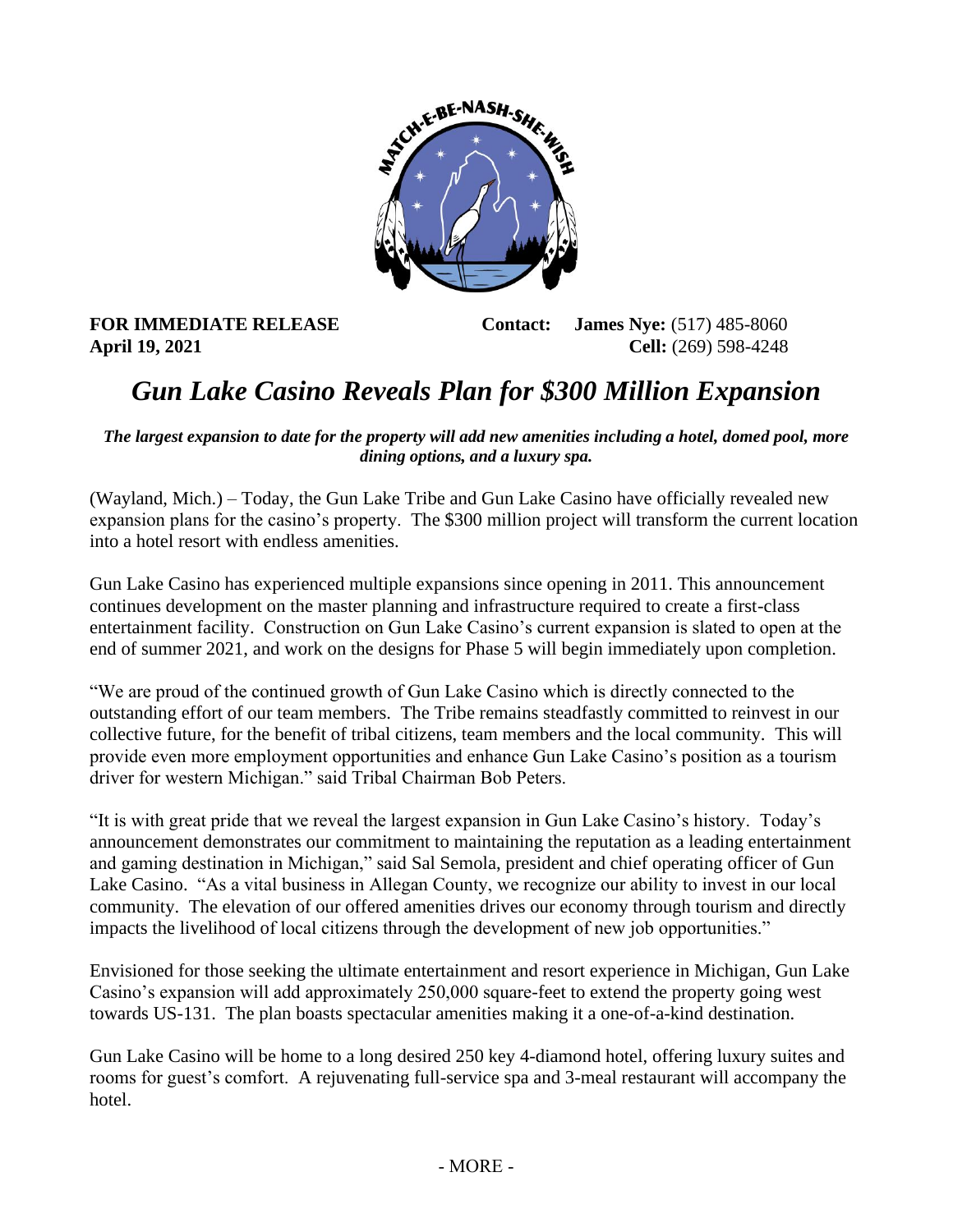

**FOR IMMEDIATE RELEASE Contact: James Nye:** (517) 485-8060 **April 19, 2021 Cell:** (269) 598-4248

## *Gun Lake Casino Reveals Plan for \$300 Million Expansion*

*The largest expansion to date for the property will add new amenities including a hotel, domed pool, more dining options, and a luxury spa.* 

(Wayland, Mich.) – Today, the Gun Lake Tribe and Gun Lake Casino have officially revealed new expansion plans for the casino's property. The \$300 million project will transform the current location into a hotel resort with endless amenities.

Gun Lake Casino has experienced multiple expansions since opening in 2011. This announcement continues development on the master planning and infrastructure required to create a first-class entertainment facility. Construction on Gun Lake Casino's current expansion is slated to open at the end of summer 2021, and work on the designs for Phase 5 will begin immediately upon completion.

"We are proud of the continued growth of Gun Lake Casino which is directly connected to the outstanding effort of our team members. The Tribe remains steadfastly committed to reinvest in our collective future, for the benefit of tribal citizens, team members and the local community. This will provide even more employment opportunities and enhance Gun Lake Casino's position as a tourism driver for western Michigan." said Tribal Chairman Bob Peters.

"It is with great pride that we reveal the largest expansion in Gun Lake Casino's history. Today's announcement demonstrates our commitment to maintaining the reputation as a leading entertainment and gaming destination in Michigan," said Sal Semola, president and chief operating officer of Gun Lake Casino. "As a vital business in Allegan County, we recognize our ability to invest in our local community. The elevation of our offered amenities drives our economy through tourism and directly impacts the livelihood of local citizens through the development of new job opportunities."

Envisioned for those seeking the ultimate entertainment and resort experience in Michigan, Gun Lake Casino's expansion will add approximately 250,000 square-feet to extend the property going west towards US-131. The plan boasts spectacular amenities making it a one-of-a-kind destination.

Gun Lake Casino will be home to a long desired 250 key 4-diamond hotel, offering luxury suites and rooms for guest's comfort. A rejuvenating full-service spa and 3-meal restaurant will accompany the hotel.